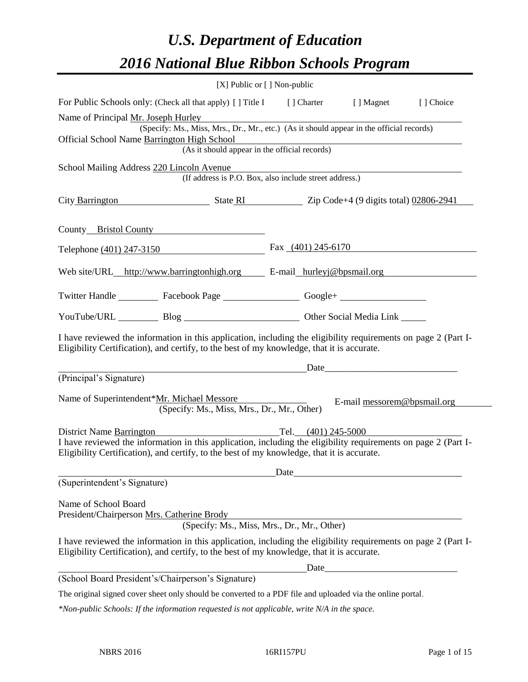# *U.S. Department of Education 2016 National Blue Ribbon Schools Program*

|                                                                                                                                                                                                              | [X] Public or [] Non-public                                                              |                                                                                                                       |                                                                                                                                                                                                                                |           |
|--------------------------------------------------------------------------------------------------------------------------------------------------------------------------------------------------------------|------------------------------------------------------------------------------------------|-----------------------------------------------------------------------------------------------------------------------|--------------------------------------------------------------------------------------------------------------------------------------------------------------------------------------------------------------------------------|-----------|
| For Public Schools only: (Check all that apply) [] Title I [] Charter [] Magnet                                                                                                                              |                                                                                          |                                                                                                                       |                                                                                                                                                                                                                                | [] Choice |
| Name of Principal Mr. Joseph Hurley                                                                                                                                                                          |                                                                                          |                                                                                                                       |                                                                                                                                                                                                                                |           |
|                                                                                                                                                                                                              | (Specify: Ms., Miss, Mrs., Dr., Mr., etc.) (As it should appear in the official records) |                                                                                                                       |                                                                                                                                                                                                                                |           |
| Official School Name Barrington High School                                                                                                                                                                  | (As it should appear in the official records)                                            | <u> 1989 - Johann Stoff, deutscher Stoff, der Stoff, der Stoff, der Stoff, der Stoff, der Stoff, der Stoff, der S</u> |                                                                                                                                                                                                                                |           |
|                                                                                                                                                                                                              |                                                                                          |                                                                                                                       |                                                                                                                                                                                                                                |           |
| School Mailing Address 220 Lincoln Avenue                                                                                                                                                                    | (If address is P.O. Box, also include street address.)                                   |                                                                                                                       |                                                                                                                                                                                                                                |           |
|                                                                                                                                                                                                              |                                                                                          |                                                                                                                       |                                                                                                                                                                                                                                |           |
| City Barrington State RI Zip Code+4 (9 digits total) 02806-2941                                                                                                                                              |                                                                                          |                                                                                                                       |                                                                                                                                                                                                                                |           |
| County Bristol County                                                                                                                                                                                        |                                                                                          |                                                                                                                       |                                                                                                                                                                                                                                |           |
| Telephone (401) 247-3150                                                                                                                                                                                     |                                                                                          | Fax $(401)$ 245-6170                                                                                                  |                                                                                                                                                                                                                                |           |
|                                                                                                                                                                                                              |                                                                                          |                                                                                                                       |                                                                                                                                                                                                                                |           |
| Web site/URL_http://www.barringtonhigh.org E-mail_hurleyj@bpsmail.org                                                                                                                                        |                                                                                          |                                                                                                                       |                                                                                                                                                                                                                                |           |
| Twitter Handle ____________ Facebook Page ____________________ Google+ _____________________________                                                                                                         |                                                                                          |                                                                                                                       |                                                                                                                                                                                                                                |           |
| YouTube/URL Blog Blog Cher Social Media Link                                                                                                                                                                 |                                                                                          |                                                                                                                       |                                                                                                                                                                                                                                |           |
| I have reviewed the information in this application, including the eligibility requirements on page 2 (Part I-<br>Eligibility Certification), and certify, to the best of my knowledge, that it is accurate. |                                                                                          |                                                                                                                       |                                                                                                                                                                                                                                |           |
|                                                                                                                                                                                                              |                                                                                          |                                                                                                                       | Date and the contract of the contract of the contract of the contract of the contract of the contract of the contract of the contract of the contract of the contract of the contract of the contract of the contract of the c |           |
| (Principal's Signature)                                                                                                                                                                                      |                                                                                          |                                                                                                                       |                                                                                                                                                                                                                                |           |
| Name of Superintendent*Mr. Michael Messore                                                                                                                                                                   | (Specify: Ms., Miss, Mrs., Dr., Mr., Other)                                              |                                                                                                                       | E-mail messorem@bpsmail.org                                                                                                                                                                                                    |           |
| <b>District Name Barrington</b>                                                                                                                                                                              | Tel. $(401)$ 245-5000                                                                    |                                                                                                                       |                                                                                                                                                                                                                                |           |
| I have reviewed the information in this application, including the eligibility requirements on page 2 (Part I-<br>Eligibility Certification), and certify, to the best of my knowledge, that it is accurate. |                                                                                          |                                                                                                                       |                                                                                                                                                                                                                                |           |
|                                                                                                                                                                                                              |                                                                                          |                                                                                                                       |                                                                                                                                                                                                                                |           |
| (Superintendent's Signature)                                                                                                                                                                                 |                                                                                          |                                                                                                                       |                                                                                                                                                                                                                                |           |
| Name of School Board                                                                                                                                                                                         |                                                                                          |                                                                                                                       |                                                                                                                                                                                                                                |           |
| President/Chairperson Mrs. Catherine Brody                                                                                                                                                                   |                                                                                          |                                                                                                                       | <u> 1980 - Johann Barn, amerikansk politiker (d. 1980)</u>                                                                                                                                                                     |           |
|                                                                                                                                                                                                              | (Specify: Ms., Miss, Mrs., Dr., Mr., Other)                                              |                                                                                                                       |                                                                                                                                                                                                                                |           |
| I have reviewed the information in this application, including the eligibility requirements on page 2 (Part I-<br>Eligibility Certification), and certify, to the best of my knowledge, that it is accurate. |                                                                                          |                                                                                                                       |                                                                                                                                                                                                                                |           |
|                                                                                                                                                                                                              |                                                                                          |                                                                                                                       | Date                                                                                                                                                                                                                           |           |
| (School Board President's/Chairperson's Signature)                                                                                                                                                           |                                                                                          |                                                                                                                       |                                                                                                                                                                                                                                |           |
| The original signed cover sheet only should be converted to a PDF file and uploaded via the online portal.                                                                                                   |                                                                                          |                                                                                                                       |                                                                                                                                                                                                                                |           |

*\*Non-public Schools: If the information requested is not applicable, write N/A in the space.*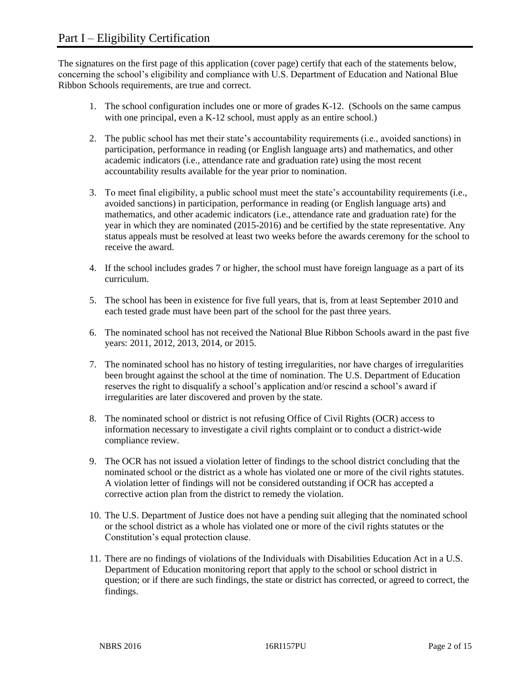The signatures on the first page of this application (cover page) certify that each of the statements below, concerning the school's eligibility and compliance with U.S. Department of Education and National Blue Ribbon Schools requirements, are true and correct.

- 1. The school configuration includes one or more of grades K-12. (Schools on the same campus with one principal, even a K-12 school, must apply as an entire school.)
- 2. The public school has met their state's accountability requirements (i.e., avoided sanctions) in participation, performance in reading (or English language arts) and mathematics, and other academic indicators (i.e., attendance rate and graduation rate) using the most recent accountability results available for the year prior to nomination.
- 3. To meet final eligibility, a public school must meet the state's accountability requirements (i.e., avoided sanctions) in participation, performance in reading (or English language arts) and mathematics, and other academic indicators (i.e., attendance rate and graduation rate) for the year in which they are nominated (2015-2016) and be certified by the state representative. Any status appeals must be resolved at least two weeks before the awards ceremony for the school to receive the award.
- 4. If the school includes grades 7 or higher, the school must have foreign language as a part of its curriculum.
- 5. The school has been in existence for five full years, that is, from at least September 2010 and each tested grade must have been part of the school for the past three years.
- 6. The nominated school has not received the National Blue Ribbon Schools award in the past five years: 2011, 2012, 2013, 2014, or 2015.
- 7. The nominated school has no history of testing irregularities, nor have charges of irregularities been brought against the school at the time of nomination. The U.S. Department of Education reserves the right to disqualify a school's application and/or rescind a school's award if irregularities are later discovered and proven by the state.
- 8. The nominated school or district is not refusing Office of Civil Rights (OCR) access to information necessary to investigate a civil rights complaint or to conduct a district-wide compliance review.
- 9. The OCR has not issued a violation letter of findings to the school district concluding that the nominated school or the district as a whole has violated one or more of the civil rights statutes. A violation letter of findings will not be considered outstanding if OCR has accepted a corrective action plan from the district to remedy the violation.
- 10. The U.S. Department of Justice does not have a pending suit alleging that the nominated school or the school district as a whole has violated one or more of the civil rights statutes or the Constitution's equal protection clause.
- 11. There are no findings of violations of the Individuals with Disabilities Education Act in a U.S. Department of Education monitoring report that apply to the school or school district in question; or if there are such findings, the state or district has corrected, or agreed to correct, the findings.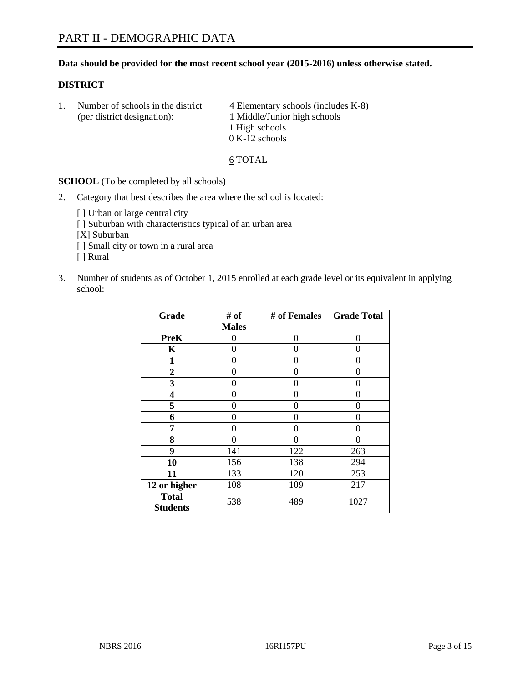# **Data should be provided for the most recent school year (2015-2016) unless otherwise stated.**

# **DISTRICT**

1. Number of schools in the district  $\frac{4}{4}$  Elementary schools (includes K-8) (per district designation):  $\frac{1 \text{ Middle/Junior high schools}}{}$ 1 High schools 0 K-12 schools

#### 6 TOTAL

**SCHOOL** (To be completed by all schools)

- 2. Category that best describes the area where the school is located:
	- [] Urban or large central city [ ] Suburban with characteristics typical of an urban area [X] Suburban [ ] Small city or town in a rural area [ ] Rural
- 3. Number of students as of October 1, 2015 enrolled at each grade level or its equivalent in applying school:

| Grade                           | # of         | # of Females | <b>Grade Total</b> |
|---------------------------------|--------------|--------------|--------------------|
|                                 | <b>Males</b> |              |                    |
| <b>PreK</b>                     | 0            | 0            | 0                  |
| $\mathbf K$                     | 0            | 0            | $\Omega$           |
| 1                               | 0            | 0            | 0                  |
| $\boldsymbol{2}$                | 0            | 0            | 0                  |
| 3                               | 0            | 0            | 0                  |
| 4                               | 0            | 0            | $\theta$           |
| 5                               | 0            | 0            | 0                  |
| 6                               | 0            | 0            | $\theta$           |
| 7                               | 0            | 0            | 0                  |
| 8                               | 0            | 0            | 0                  |
| 9                               | 141          | 122          | 263                |
| 10                              | 156          | 138          | 294                |
| 11                              | 133          | 120          | 253                |
| 12 or higher                    | 108          | 109          | 217                |
| <b>Total</b><br><b>Students</b> | 538          | 489          | 1027               |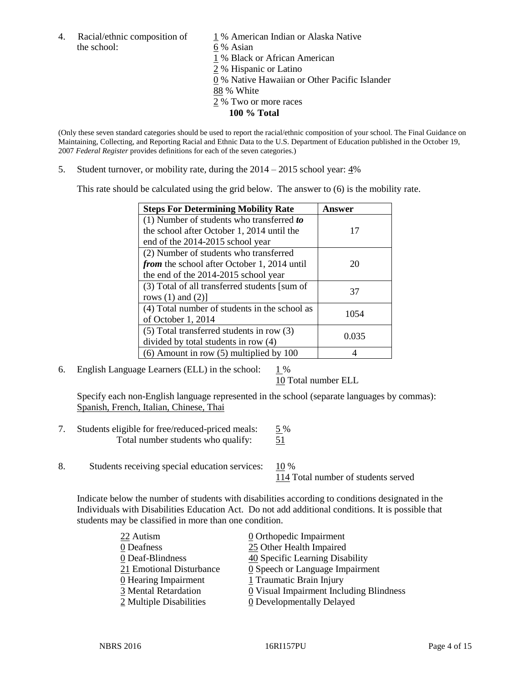4. Racial/ethnic composition of  $1\%$  American Indian or Alaska Native the school: 6 % Asian

 % Black or African American % Hispanic or Latino % Native Hawaiian or Other Pacific Islander 88 % White % Two or more races **100 % Total**

(Only these seven standard categories should be used to report the racial/ethnic composition of your school. The Final Guidance on Maintaining, Collecting, and Reporting Racial and Ethnic Data to the U.S. Department of Education published in the October 19, 2007 *Federal Register* provides definitions for each of the seven categories.)

5. Student turnover, or mobility rate, during the  $2014 - 2015$  school year:  $4\%$ 

This rate should be calculated using the grid below. The answer to (6) is the mobility rate.

| <b>Steps For Determining Mobility Rate</b>    | Answer |  |
|-----------------------------------------------|--------|--|
| $(1)$ Number of students who transferred to   |        |  |
| the school after October 1, 2014 until the    | 17     |  |
| end of the 2014-2015 school year              |        |  |
| (2) Number of students who transferred        |        |  |
| from the school after October 1, 2014 until   | 20     |  |
| the end of the 2014-2015 school year          |        |  |
| (3) Total of all transferred students [sum of | 37     |  |
| rows $(1)$ and $(2)$ ]                        |        |  |
| (4) Total number of students in the school as | 1054   |  |
| of October 1, 2014                            |        |  |
| $(5)$ Total transferred students in row $(3)$ | 0.035  |  |
| divided by total students in row (4)          |        |  |
| $(6)$ Amount in row $(5)$ multiplied by 100   |        |  |

6. English Language Learners (ELL) in the school:  $1\%$ 

10 Total number ELL

Specify each non-English language represented in the school (separate languages by commas): Spanish, French, Italian, Chinese, Thai

- 7. Students eligible for free/reduced-priced meals: 5 % Total number students who qualify:  $\frac{51}{2}$
- 8. Students receiving special education services: 10 %

114 Total number of students served

Indicate below the number of students with disabilities according to conditions designated in the Individuals with Disabilities Education Act. Do not add additional conditions. It is possible that students may be classified in more than one condition.

| 22 Autism                | $\underline{0}$ Orthopedic Impairment         |
|--------------------------|-----------------------------------------------|
| 0 Deafness               | 25 Other Health Impaired                      |
| 0 Deaf-Blindness         | 40 Specific Learning Disability               |
| 21 Emotional Disturbance | $\underline{0}$ Speech or Language Impairment |
| 0 Hearing Impairment     | 1 Traumatic Brain Injury                      |
| 3 Mental Retardation     | 0 Visual Impairment Including Blindness       |
| 2 Multiple Disabilities  | <b>0</b> Developmentally Delayed              |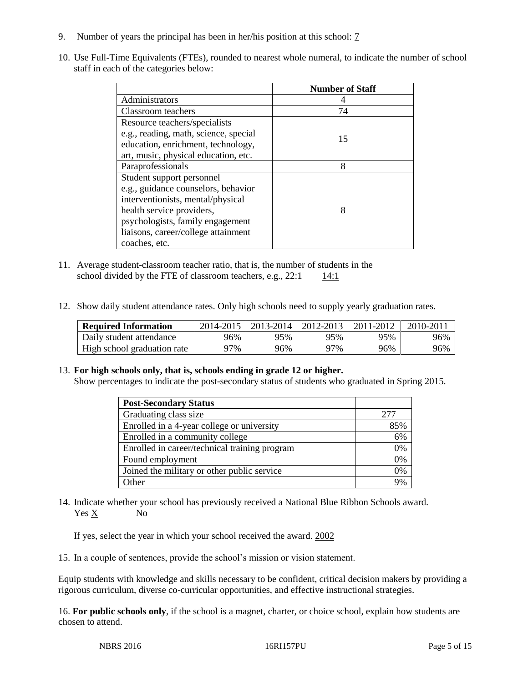- 9. Number of years the principal has been in her/his position at this school: 7
- 10. Use Full-Time Equivalents (FTEs), rounded to nearest whole numeral, to indicate the number of school staff in each of the categories below:

|                                       | <b>Number of Staff</b> |
|---------------------------------------|------------------------|
| Administrators                        |                        |
| Classroom teachers                    | 74                     |
| Resource teachers/specialists         |                        |
| e.g., reading, math, science, special | 15                     |
| education, enrichment, technology,    |                        |
| art, music, physical education, etc.  |                        |
| Paraprofessionals                     | 8                      |
| Student support personnel             |                        |
| e.g., guidance counselors, behavior   |                        |
| interventionists, mental/physical     |                        |
| health service providers,             | 8                      |
| psychologists, family engagement      |                        |
| liaisons, career/college attainment   |                        |
| coaches, etc.                         |                        |

- 11. Average student-classroom teacher ratio, that is, the number of students in the school divided by the FTE of classroom teachers, e.g.,  $22:1$  14:1
- 12. Show daily student attendance rates. Only high schools need to supply yearly graduation rates.

| <b>Required Information</b> | 2014-2015 | 2013-2014 | 2012-2013 | 2011-2012 | $2010 - 201$ |
|-----------------------------|-----------|-----------|-----------|-----------|--------------|
| Daily student attendance    | 96%       | 95%       | 95%       | 95%       | 96%          |
| High school graduation rate | 97%       | 96%       | 97%       | 96%       | 96%          |

# 13. **For high schools only, that is, schools ending in grade 12 or higher.**

Show percentages to indicate the post-secondary status of students who graduated in Spring 2015.

| <b>Post-Secondary Status</b>                  |       |
|-----------------------------------------------|-------|
| Graduating class size                         | 277   |
| Enrolled in a 4-year college or university    | 85%   |
| Enrolled in a community college               | 6%    |
| Enrolled in career/technical training program | 0%    |
| Found employment                              | 0%    |
| Joined the military or other public service   | 0%    |
| Other                                         | $Q_0$ |

14. Indicate whether your school has previously received a National Blue Ribbon Schools award. Yes X No

If yes, select the year in which your school received the award. 2002

15. In a couple of sentences, provide the school's mission or vision statement.

Equip students with knowledge and skills necessary to be confident, critical decision makers by providing a rigorous curriculum, diverse co-curricular opportunities, and effective instructional strategies.

16. **For public schools only**, if the school is a magnet, charter, or choice school, explain how students are chosen to attend.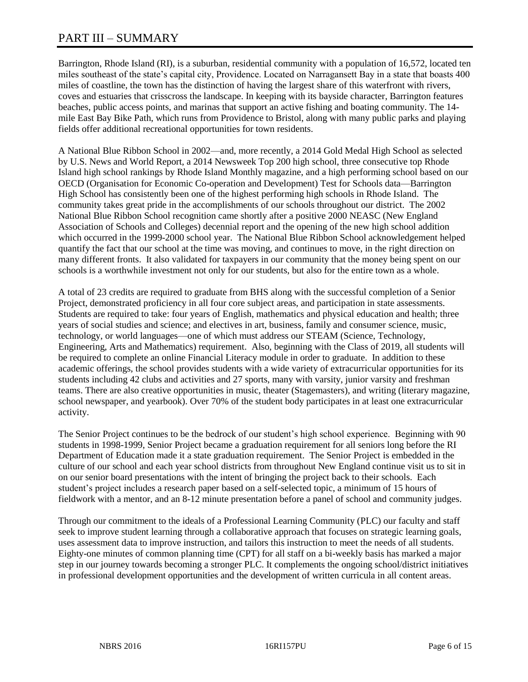# PART III – SUMMARY

Barrington, Rhode Island (RI), is a suburban, residential community with a population of 16,572, located ten miles southeast of the state's capital city, Providence. Located on Narragansett Bay in a state that boasts 400 miles of coastline, the town has the distinction of having the largest share of this waterfront with rivers, coves and estuaries that crisscross the landscape. In keeping with its bayside character, Barrington features beaches, public access points, and marinas that support an active fishing and boating community. The 14 mile East Bay Bike Path, which runs from Providence to Bristol, along with many public parks and playing fields offer additional recreational opportunities for town residents.

A National Blue Ribbon School in 2002—and, more recently, a 2014 Gold Medal High School as selected by U.S. News and World Report, a 2014 Newsweek Top 200 high school, three consecutive top Rhode Island high school rankings by Rhode Island Monthly magazine, and a high performing school based on our OECD (Organisation for Economic Co-operation and Development) Test for Schools data—Barrington High School has consistently been one of the highest performing high schools in Rhode Island. The community takes great pride in the accomplishments of our schools throughout our district. The 2002 National Blue Ribbon School recognition came shortly after a positive 2000 NEASC (New England Association of Schools and Colleges) decennial report and the opening of the new high school addition which occurred in the 1999-2000 school year. The National Blue Ribbon School acknowledgement helped quantify the fact that our school at the time was moving, and continues to move, in the right direction on many different fronts. It also validated for taxpayers in our community that the money being spent on our schools is a worthwhile investment not only for our students, but also for the entire town as a whole.

A total of 23 credits are required to graduate from BHS along with the successful completion of a Senior Project, demonstrated proficiency in all four core subject areas, and participation in state assessments. Students are required to take: four years of English, mathematics and physical education and health; three years of social studies and science; and electives in art, business, family and consumer science, music, technology, or world languages—one of which must address our STEAM (Science, Technology, Engineering, Arts and Mathematics) requirement. Also, beginning with the Class of 2019, all students will be required to complete an online Financial Literacy module in order to graduate. In addition to these academic offerings, the school provides students with a wide variety of extracurricular opportunities for its students including 42 clubs and activities and 27 sports, many with varsity, junior varsity and freshman teams. There are also creative opportunities in music, theater (Stagemasters), and writing (literary magazine, school newspaper, and yearbook). Over 70% of the student body participates in at least one extracurricular activity.

The Senior Project continues to be the bedrock of our student's high school experience. Beginning with 90 students in 1998-1999, Senior Project became a graduation requirement for all seniors long before the RI Department of Education made it a state graduation requirement. The Senior Project is embedded in the culture of our school and each year school districts from throughout New England continue visit us to sit in on our senior board presentations with the intent of bringing the project back to their schools. Each student's project includes a research paper based on a self-selected topic, a minimum of 15 hours of fieldwork with a mentor, and an 8-12 minute presentation before a panel of school and community judges.

Through our commitment to the ideals of a Professional Learning Community (PLC) our faculty and staff seek to improve student learning through a collaborative approach that focuses on strategic learning goals, uses assessment data to improve instruction, and tailors this instruction to meet the needs of all students. Eighty-one minutes of common planning time (CPT) for all staff on a bi-weekly basis has marked a major step in our journey towards becoming a stronger PLC. It complements the ongoing school/district initiatives in professional development opportunities and the development of written curricula in all content areas.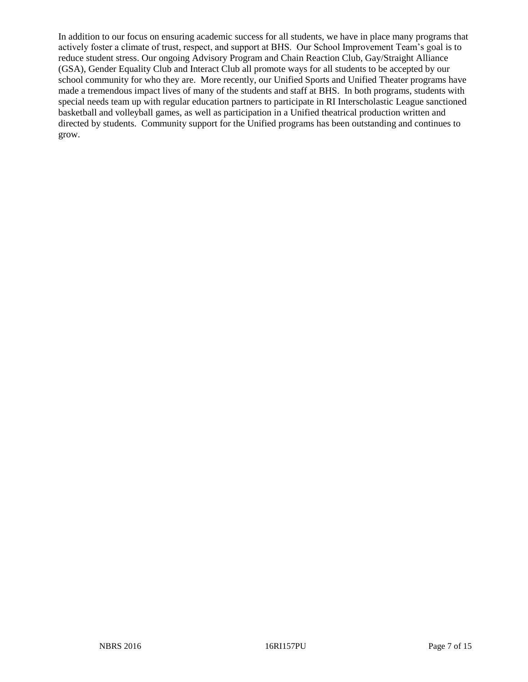In addition to our focus on ensuring academic success for all students, we have in place many programs that actively foster a climate of trust, respect, and support at BHS. Our School Improvement Team's goal is to reduce student stress. Our ongoing Advisory Program and Chain Reaction Club, Gay/Straight Alliance (GSA), Gender Equality Club and Interact Club all promote ways for all students to be accepted by our school community for who they are. More recently, our Unified Sports and Unified Theater programs have made a tremendous impact lives of many of the students and staff at BHS. In both programs, students with special needs team up with regular education partners to participate in RI Interscholastic League sanctioned basketball and volleyball games, as well as participation in a Unified theatrical production written and directed by students. Community support for the Unified programs has been outstanding and continues to grow.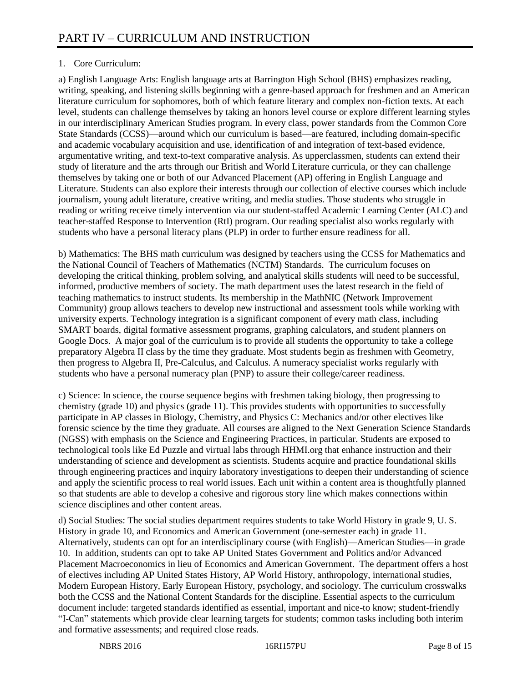# 1. Core Curriculum:

a) English Language Arts: English language arts at Barrington High School (BHS) emphasizes reading, writing, speaking, and listening skills beginning with a genre-based approach for freshmen and an American literature curriculum for sophomores, both of which feature literary and complex non-fiction texts. At each level, students can challenge themselves by taking an honors level course or explore different learning styles in our interdisciplinary American Studies program. In every class, power standards from the Common Core State Standards (CCSS)—around which our curriculum is based—are featured, including domain-specific and academic vocabulary acquisition and use, identification of and integration of text-based evidence, argumentative writing, and text-to-text comparative analysis. As upperclassmen, students can extend their study of literature and the arts through our British and World Literature curricula, or they can challenge themselves by taking one or both of our Advanced Placement (AP) offering in English Language and Literature. Students can also explore their interests through our collection of elective courses which include journalism, young adult literature, creative writing, and media studies. Those students who struggle in reading or writing receive timely intervention via our student-staffed Academic Learning Center (ALC) and teacher-staffed Response to Intervention (RtI) program. Our reading specialist also works regularly with students who have a personal literacy plans (PLP) in order to further ensure readiness for all.

b) Mathematics: The BHS math curriculum was designed by teachers using the CCSS for Mathematics and the National Council of Teachers of Mathematics (NCTM) Standards. The curriculum focuses on developing the critical thinking, problem solving, and analytical skills students will need to be successful, informed, productive members of society. The math department uses the latest research in the field of teaching mathematics to instruct students. Its membership in the MathNIC (Network Improvement Community) group allows teachers to develop new instructional and assessment tools while working with university experts. Technology integration is a significant component of every math class, including SMART boards, digital formative assessment programs, graphing calculators, and student planners on Google Docs. A major goal of the curriculum is to provide all students the opportunity to take a college preparatory Algebra II class by the time they graduate. Most students begin as freshmen with Geometry, then progress to Algebra II, Pre-Calculus, and Calculus. A numeracy specialist works regularly with students who have a personal numeracy plan (PNP) to assure their college/career readiness.

c) Science: In science, the course sequence begins with freshmen taking biology, then progressing to chemistry (grade 10) and physics (grade 11). This provides students with opportunities to successfully participate in AP classes in Biology, Chemistry, and Physics C: Mechanics and/or other electives like forensic science by the time they graduate. All courses are aligned to the Next Generation Science Standards (NGSS) with emphasis on the Science and Engineering Practices, in particular. Students are exposed to technological tools like Ed Puzzle and virtual labs through HHMI.org that enhance instruction and their understanding of science and development as scientists. Students acquire and practice foundational skills through engineering practices and inquiry laboratory investigations to deepen their understanding of science and apply the scientific process to real world issues. Each unit within a content area is thoughtfully planned so that students are able to develop a cohesive and rigorous story line which makes connections within science disciplines and other content areas.

d) Social Studies: The social studies department requires students to take World History in grade 9, U. S. History in grade 10, and Economics and American Government (one-semester each) in grade 11. Alternatively, students can opt for an interdisciplinary course (with English)—American Studies—in grade 10. In addition, students can opt to take AP United States Government and Politics and/or Advanced Placement Macroeconomics in lieu of Economics and American Government. The department offers a host of electives including AP United States History, AP World History, anthropology, international studies, Modern European History, Early European History, psychology, and sociology. The curriculum crosswalks both the CCSS and the National Content Standards for the discipline. Essential aspects to the curriculum document include: targeted standards identified as essential, important and nice-to know; student-friendly "I-Can" statements which provide clear learning targets for students; common tasks including both interim and formative assessments; and required close reads.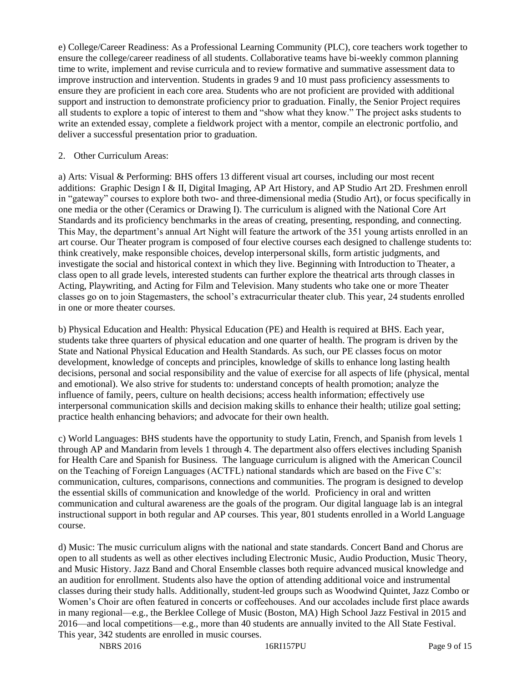e) College/Career Readiness: As a Professional Learning Community (PLC), core teachers work together to ensure the college/career readiness of all students. Collaborative teams have bi-weekly common planning time to write, implement and revise curricula and to review formative and summative assessment data to improve instruction and intervention. Students in grades 9 and 10 must pass proficiency assessments to ensure they are proficient in each core area. Students who are not proficient are provided with additional support and instruction to demonstrate proficiency prior to graduation. Finally, the Senior Project requires all students to explore a topic of interest to them and "show what they know." The project asks students to write an extended essay, complete a fieldwork project with a mentor, compile an electronic portfolio, and deliver a successful presentation prior to graduation.

# 2. Other Curriculum Areas:

a) Arts: Visual & Performing: BHS offers 13 different visual art courses, including our most recent additions: Graphic Design I & II, Digital Imaging, AP Art History, and AP Studio Art 2D. Freshmen enroll in "gateway" courses to explore both two- and three-dimensional media (Studio Art), or focus specifically in one media or the other (Ceramics or Drawing I). The curriculum is aligned with the National Core Art Standards and its proficiency benchmarks in the areas of creating, presenting, responding, and connecting. This May, the department's annual Art Night will feature the artwork of the 351 young artists enrolled in an art course. Our Theater program is composed of four elective courses each designed to challenge students to: think creatively, make responsible choices, develop interpersonal skills, form artistic judgments, and investigate the social and historical context in which they live. Beginning with Introduction to Theater, a class open to all grade levels, interested students can further explore the theatrical arts through classes in Acting, Playwriting, and Acting for Film and Television. Many students who take one or more Theater classes go on to join Stagemasters, the school's extracurricular theater club. This year, 24 students enrolled in one or more theater courses.

b) Physical Education and Health: Physical Education (PE) and Health is required at BHS. Each year, students take three quarters of physical education and one quarter of health. The program is driven by the State and National Physical Education and Health Standards. As such, our PE classes focus on motor development, knowledge of concepts and principles, knowledge of skills to enhance long lasting health decisions, personal and social responsibility and the value of exercise for all aspects of life (physical, mental and emotional). We also strive for students to: understand concepts of health promotion; analyze the influence of family, peers, culture on health decisions; access health information; effectively use interpersonal communication skills and decision making skills to enhance their health; utilize goal setting; practice health enhancing behaviors; and advocate for their own health.

c) World Languages: BHS students have the opportunity to study Latin, French, and Spanish from levels 1 through AP and Mandarin from levels 1 through 4. The department also offers electives including Spanish for Health Care and Spanish for Business. The language curriculum is aligned with the American Council on the Teaching of Foreign Languages (ACTFL) national standards which are based on the Five C's: communication, cultures, comparisons, connections and communities. The program is designed to develop the essential skills of communication and knowledge of the world. Proficiency in oral and written communication and cultural awareness are the goals of the program. Our digital language lab is an integral instructional support in both regular and AP courses. This year, 801 students enrolled in a World Language course.

d) Music: The music curriculum aligns with the national and state standards. Concert Band and Chorus are open to all students as well as other electives including Electronic Music, Audio Production, Music Theory, and Music History. Jazz Band and Choral Ensemble classes both require advanced musical knowledge and an audition for enrollment. Students also have the option of attending additional voice and instrumental classes during their study halls. Additionally, student-led groups such as Woodwind Quintet, Jazz Combo or Women's Choir are often featured in concerts or coffeehouses. And our accolades include first place awards in many regional—e.g., the Berklee College of Music (Boston, MA) High School Jazz Festival in 2015 and 2016—and local competitions—e.g., more than 40 students are annually invited to the All State Festival. This year, 342 students are enrolled in music courses.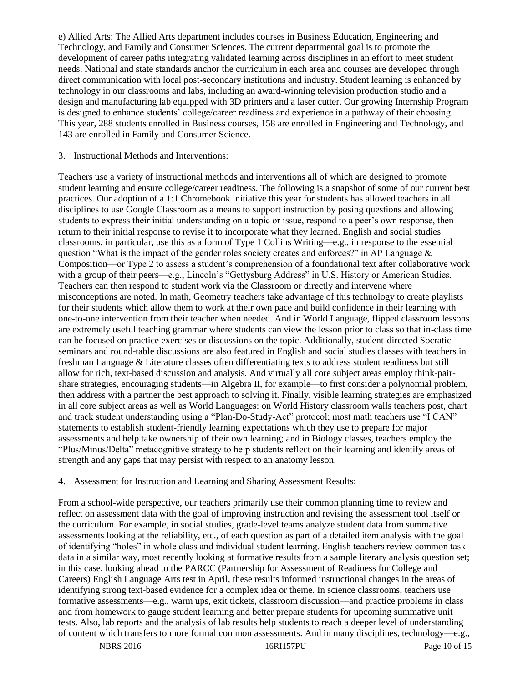e) Allied Arts: The Allied Arts department includes courses in Business Education, Engineering and Technology, and Family and Consumer Sciences. The current departmental goal is to promote the development of career paths integrating validated learning across disciplines in an effort to meet student needs. National and state standards anchor the curriculum in each area and courses are developed through direct communication with local post-secondary institutions and industry. Student learning is enhanced by technology in our classrooms and labs, including an award-winning television production studio and a design and manufacturing lab equipped with 3D printers and a laser cutter. Our growing Internship Program is designed to enhance students' college/career readiness and experience in a pathway of their choosing. This year, 288 students enrolled in Business courses, 158 are enrolled in Engineering and Technology, and 143 are enrolled in Family and Consumer Science.

## 3. Instructional Methods and Interventions:

Teachers use a variety of instructional methods and interventions all of which are designed to promote student learning and ensure college/career readiness. The following is a snapshot of some of our current best practices. Our adoption of a 1:1 Chromebook initiative this year for students has allowed teachers in all disciplines to use Google Classroom as a means to support instruction by posing questions and allowing students to express their initial understanding on a topic or issue, respond to a peer's own response, then return to their initial response to revise it to incorporate what they learned. English and social studies classrooms, in particular, use this as a form of Type 1 Collins Writing—e.g., in response to the essential question "What is the impact of the gender roles society creates and enforces?" in AP Language  $\&$ Composition—or Type 2 to assess a student's comprehension of a foundational text after collaborative work with a group of their peers—e.g., Lincoln's "Gettysburg Address" in U.S. History or American Studies. Teachers can then respond to student work via the Classroom or directly and intervene where misconceptions are noted. In math, Geometry teachers take advantage of this technology to create playlists for their students which allow them to work at their own pace and build confidence in their learning with one-to-one intervention from their teacher when needed. And in World Language, flipped classroom lessons are extremely useful teaching grammar where students can view the lesson prior to class so that in-class time can be focused on practice exercises or discussions on the topic. Additionally, student-directed Socratic seminars and round-table discussions are also featured in English and social studies classes with teachers in freshman Language & Literature classes often differentiating texts to address student readiness but still allow for rich, text-based discussion and analysis. And virtually all core subject areas employ think-pairshare strategies, encouraging students—in Algebra II, for example—to first consider a polynomial problem, then address with a partner the best approach to solving it. Finally, visible learning strategies are emphasized in all core subject areas as well as World Languages: on World History classroom walls teachers post, chart and track student understanding using a "Plan-Do-Study-Act" protocol; most math teachers use "I CAN" statements to establish student-friendly learning expectations which they use to prepare for major assessments and help take ownership of their own learning; and in Biology classes, teachers employ the "Plus/Minus/Delta" metacognitive strategy to help students reflect on their learning and identify areas of strength and any gaps that may persist with respect to an anatomy lesson.

# 4. Assessment for Instruction and Learning and Sharing Assessment Results:

From a school-wide perspective, our teachers primarily use their common planning time to review and reflect on assessment data with the goal of improving instruction and revising the assessment tool itself or the curriculum. For example, in social studies, grade-level teams analyze student data from summative assessments looking at the reliability, etc., of each question as part of a detailed item analysis with the goal of identifying "holes" in whole class and individual student learning. English teachers review common task data in a similar way, most recently looking at formative results from a sample literary analysis question set; in this case, looking ahead to the PARCC (Partnership for Assessment of Readiness for College and Careers) English Language Arts test in April, these results informed instructional changes in the areas of identifying strong text-based evidence for a complex idea or theme. In science classrooms, teachers use formative assessments—e.g., warm ups, exit tickets, classroom discussion—and practice problems in class and from homework to gauge student learning and better prepare students for upcoming summative unit tests. Also, lab reports and the analysis of lab results help students to reach a deeper level of understanding of content which transfers to more formal common assessments. And in many disciplines, technology—e.g.,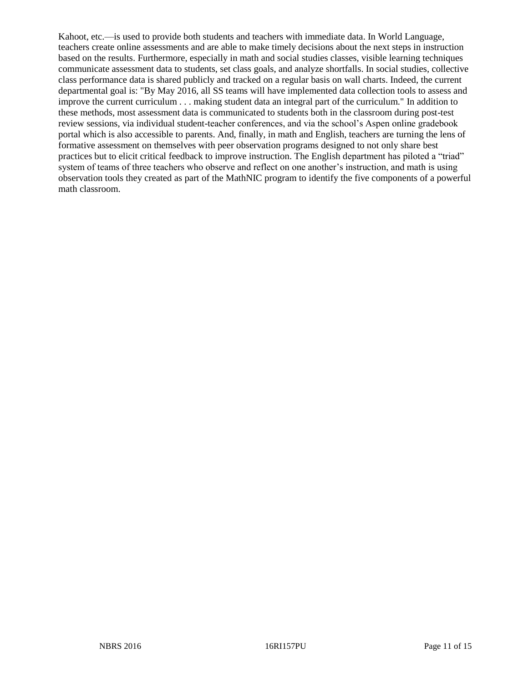Kahoot, etc.—is used to provide both students and teachers with immediate data. In World Language, teachers create online assessments and are able to make timely decisions about the next steps in instruction based on the results. Furthermore, especially in math and social studies classes, visible learning techniques communicate assessment data to students, set class goals, and analyze shortfalls. In social studies, collective class performance data is shared publicly and tracked on a regular basis on wall charts. Indeed, the current departmental goal is: "By May 2016, all SS teams will have implemented data collection tools to assess and improve the current curriculum . . . making student data an integral part of the curriculum." In addition to these methods, most assessment data is communicated to students both in the classroom during post-test review sessions, via individual student-teacher conferences, and via the school's Aspen online gradebook portal which is also accessible to parents. And, finally, in math and English, teachers are turning the lens of formative assessment on themselves with peer observation programs designed to not only share best practices but to elicit critical feedback to improve instruction. The English department has piloted a "triad" system of teams of three teachers who observe and reflect on one another's instruction, and math is using observation tools they created as part of the MathNIC program to identify the five components of a powerful math classroom.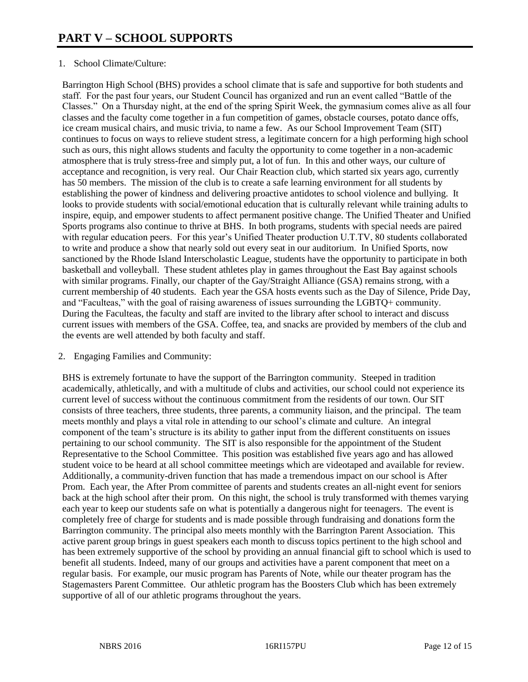# 1. School Climate/Culture:

Barrington High School (BHS) provides a school climate that is safe and supportive for both students and staff. For the past four years, our Student Council has organized and run an event called "Battle of the Classes." On a Thursday night, at the end of the spring Spirit Week, the gymnasium comes alive as all four classes and the faculty come together in a fun competition of games, obstacle courses, potato dance offs, ice cream musical chairs, and music trivia, to name a few. As our School Improvement Team (SIT) continues to focus on ways to relieve student stress, a legitimate concern for a high performing high school such as ours, this night allows students and faculty the opportunity to come together in a non-academic atmosphere that is truly stress-free and simply put, a lot of fun. In this and other ways, our culture of acceptance and recognition, is very real. Our Chair Reaction club, which started six years ago, currently has 50 members. The mission of the club is to create a safe learning environment for all students by establishing the power of kindness and delivering proactive antidotes to school violence and bullying. It looks to provide students with social/emotional education that is culturally relevant while training adults to inspire, equip, and empower students to affect permanent positive change. The Unified Theater and Unified Sports programs also continue to thrive at BHS. In both programs, students with special needs are paired with regular education peers. For this year's Unified Theater production U.T.TV, 80 students collaborated to write and produce a show that nearly sold out every seat in our auditorium. In Unified Sports, now sanctioned by the Rhode Island Interscholastic League, students have the opportunity to participate in both basketball and volleyball. These student athletes play in games throughout the East Bay against schools with similar programs. Finally, our chapter of the Gay/Straight Alliance (GSA) remains strong, with a current membership of 40 students. Each year the GSA hosts events such as the Day of Silence, Pride Day, and "Faculteas," with the goal of raising awareness of issues surrounding the LGBTQ+ community. During the Faculteas, the faculty and staff are invited to the library after school to interact and discuss current issues with members of the GSA. Coffee, tea, and snacks are provided by members of the club and the events are well attended by both faculty and staff.

# 2. Engaging Families and Community:

BHS is extremely fortunate to have the support of the Barrington community. Steeped in tradition academically, athletically, and with a multitude of clubs and activities, our school could not experience its current level of success without the continuous commitment from the residents of our town. Our SIT consists of three teachers, three students, three parents, a community liaison, and the principal. The team meets monthly and plays a vital role in attending to our school's climate and culture. An integral component of the team's structure is its ability to gather input from the different constituents on issues pertaining to our school community. The SIT is also responsible for the appointment of the Student Representative to the School Committee. This position was established five years ago and has allowed student voice to be heard at all school committee meetings which are videotaped and available for review. Additionally, a community-driven function that has made a tremendous impact on our school is After Prom. Each year, the After Prom committee of parents and students creates an all-night event for seniors back at the high school after their prom. On this night, the school is truly transformed with themes varying each year to keep our students safe on what is potentially a dangerous night for teenagers. The event is completely free of charge for students and is made possible through fundraising and donations form the Barrington community. The principal also meets monthly with the Barrington Parent Association. This active parent group brings in guest speakers each month to discuss topics pertinent to the high school and has been extremely supportive of the school by providing an annual financial gift to school which is used to benefit all students. Indeed, many of our groups and activities have a parent component that meet on a regular basis. For example, our music program has Parents of Note, while our theater program has the Stagemasters Parent Committee. Our athletic program has the Boosters Club which has been extremely supportive of all of our athletic programs throughout the years.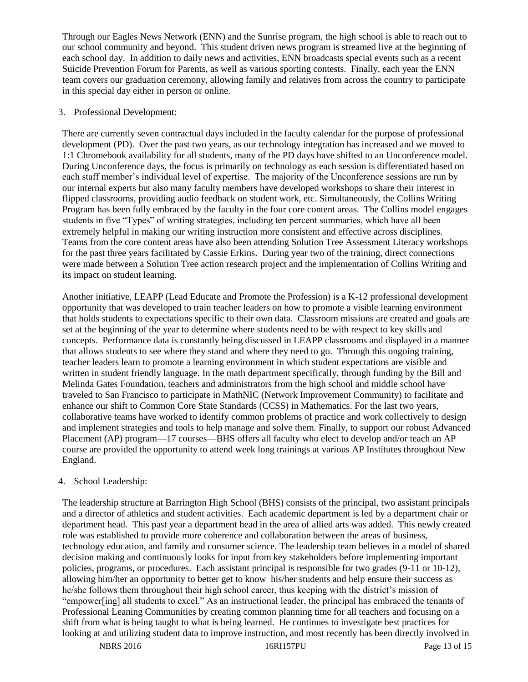Through our Eagles News Network (ENN) and the Sunrise program, the high school is able to reach out to our school community and beyond. This student driven news program is streamed live at the beginning of each school day. In addition to daily news and activities, ENN broadcasts special events such as a recent Suicide Prevention Forum for Parents, as well as various sporting contests. Finally, each year the ENN team covers our graduation ceremony, allowing family and relatives from across the country to participate in this special day either in person or online.

# 3. Professional Development:

There are currently seven contractual days included in the faculty calendar for the purpose of professional development (PD). Over the past two years, as our technology integration has increased and we moved to 1:1 Chromebook availability for all students, many of the PD days have shifted to an Unconference model. During Unconference days, the focus is primarily on technology as each session is differentiated based on each staff member's individual level of expertise. The majority of the Unconference sessions are run by our internal experts but also many faculty members have developed workshops to share their interest in flipped classrooms, providing audio feedback on student work, etc. Simultaneously, the Collins Writing Program has been fully embraced by the faculty in the four core content areas. The Collins model engages students in five "Types" of writing strategies, including ten percent summaries, which have all been extremely helpful in making our writing instruction more consistent and effective across disciplines. Teams from the core content areas have also been attending Solution Tree Assessment Literacy workshops for the past three years facilitated by Cassie Erkins. During year two of the training, direct connections were made between a Solution Tree action research project and the implementation of Collins Writing and its impact on student learning.

Another initiative, LEAPP (Lead Educate and Promote the Profession) is a K-12 professional development opportunity that was developed to train teacher leaders on how to promote a visible learning environment that holds students to expectations specific to their own data. Classroom missions are created and goals are set at the beginning of the year to determine where students need to be with respect to key skills and concepts. Performance data is constantly being discussed in LEAPP classrooms and displayed in a manner that allows students to see where they stand and where they need to go. Through this ongoing training, teacher leaders learn to promote a learning environment in which student expectations are visible and written in student friendly language. In the math department specifically, through funding by the Bill and Melinda Gates Foundation, teachers and administrators from the high school and middle school have traveled to San Francisco to participate in MathNIC (Network Improvement Community) to facilitate and enhance our shift to Common Core State Standards (CCSS) in Mathematics. For the last two years, collaborative teams have worked to identify common problems of practice and work collectively to design and implement strategies and tools to help manage and solve them. Finally, to support our robust Advanced Placement (AP) program—17 courses—BHS offers all faculty who elect to develop and/or teach an AP course are provided the opportunity to attend week long trainings at various AP Institutes throughout New England.

# 4. School Leadership:

The leadership structure at Barrington High School (BHS) consists of the principal, two assistant principals and a director of athletics and student activities. Each academic department is led by a department chair or department head. This past year a department head in the area of allied arts was added. This newly created role was established to provide more coherence and collaboration between the areas of business, technology education, and family and consumer science. The leadership team believes in a model of shared decision making and continuously looks for input from key stakeholders before implementing important policies, programs, or procedures. Each assistant principal is responsible for two grades (9-11 or 10-12), allowing him/her an opportunity to better get to know his/her students and help ensure their success as he/she follows them throughout their high school career, thus keeping with the district's mission of "empower[ing] all students to excel." As an instructional leader, the principal has embraced the tenants of Professional Leaning Communities by creating common planning time for all teachers and focusing on a shift from what is being taught to what is being learned. He continues to investigate best practices for looking at and utilizing student data to improve instruction, and most recently has been directly involved in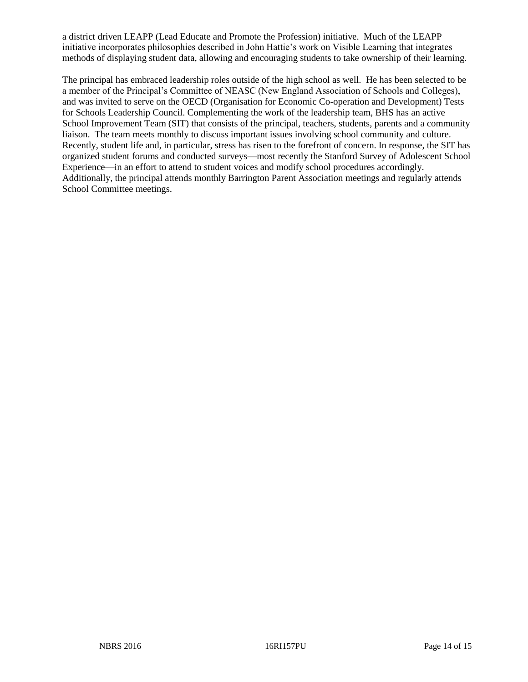a district driven LEAPP (Lead Educate and Promote the Profession) initiative. Much of the LEAPP initiative incorporates philosophies described in John Hattie's work on Visible Learning that integrates methods of displaying student data, allowing and encouraging students to take ownership of their learning.

The principal has embraced leadership roles outside of the high school as well. He has been selected to be a member of the Principal's Committee of NEASC (New England Association of Schools and Colleges), and was invited to serve on the OECD (Organisation for Economic Co-operation and Development) Tests for Schools Leadership Council. Complementing the work of the leadership team, BHS has an active School Improvement Team (SIT) that consists of the principal, teachers, students, parents and a community liaison. The team meets monthly to discuss important issues involving school community and culture. Recently, student life and, in particular, stress has risen to the forefront of concern. In response, the SIT has organized student forums and conducted surveys—most recently the Stanford Survey of Adolescent School Experience—in an effort to attend to student voices and modify school procedures accordingly. Additionally, the principal attends monthly Barrington Parent Association meetings and regularly attends School Committee meetings.